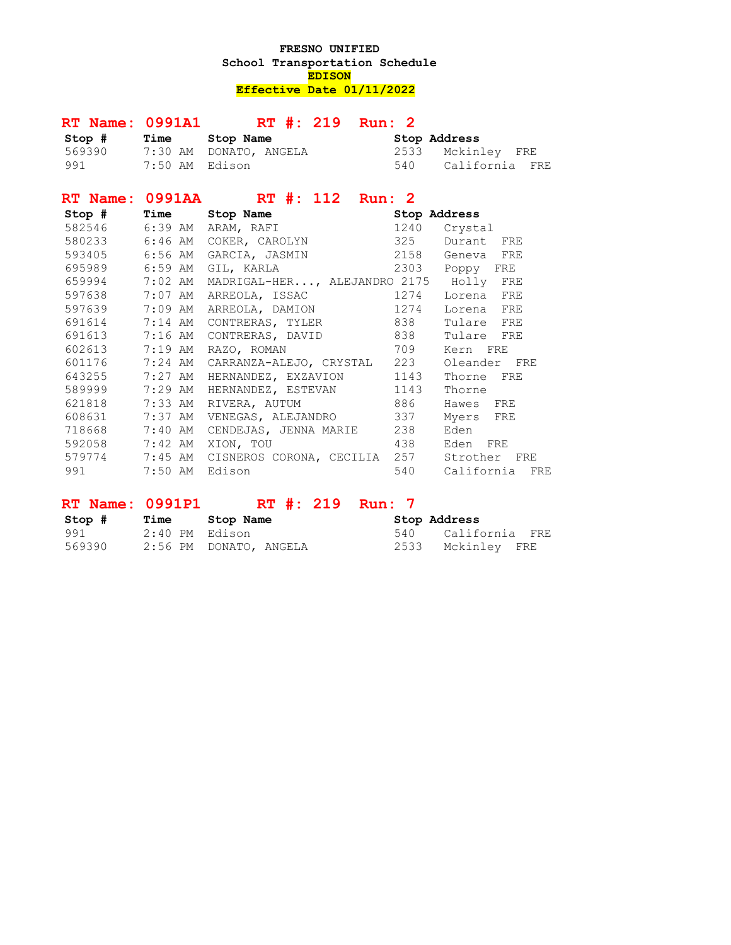## **FRESNO UNIFIED School Transportation Schedule EDISON Effective Date 01/11/2022**

|                    | RT Name: 0991A1 RT #: 219 Run: 2                         |     |                |
|--------------------|----------------------------------------------------------|-----|----------------|
|                    | Stop # Time Stop Name \$ Stop Address                    |     |                |
|                    | 569390 7:30 AM DONATO, ANGELA 2533 Mckinley FRE          |     |                |
|                    | 991 7:50 AM Edison 640 California FRE                    |     |                |
|                    | RT Name: 0991AA RT #: 112 Run: 2                         |     |                |
|                    | Stop # Time Stop Name \$ Stop Address                    |     |                |
|                    | 582546 6:39 AM ARAM, RAFI                                |     | 1240 Crystal   |
|                    | 580233 6:46 AM COKER, CAROLYN 325 Durant FRE             |     |                |
|                    | 593405 6:56 AM GARCIA, JASMIN 2158 Geneva FRE            |     |                |
|                    | 695989 6:59 AM GIL, KARLA 2303 Poppy FRE                 |     |                |
|                    | 659994 7:02 AM MADRIGAL-HER, ALEJANDRO 2175 Holly FRE    |     |                |
|                    | 597638 7:07 AM ARREOLA, ISSAC 1274                       |     | Lorena FRE     |
| 597639 7:09 AM     | ARREOLA, DAMION 1274                                     |     | Lorena FRE     |
|                    | 691614 7:14 AM CONTRERAS, TYLER 838                      |     | Tulare FRE     |
|                    | 691613 7:16 AM CONTRERAS, DAVID 838                      |     | Tulare FRE     |
| 602613 7:19 AM     | RAZO, ROMAN 709                                          |     | Kern FRE       |
| 601176 7:24 AM     | CARRANZA-ALEJO, CRYSTAL 223                              |     | Oleander FRE   |
| 643255 7:27 AM     | HERNANDEZ, EXZAVION 1143                                 |     | Thorne FRE     |
| 589999 7:29 AM     | HERNANDEZ, ESTEVAN 1143                                  |     | Thorne         |
|                    | 621818 7:33 AM RIVERA, AUTUM 886                         |     | Hawes FRE      |
|                    | 608631 7:37 AM VENEGAS, ALEJANDRO 337                    |     | Myers FRE      |
| 718668 7:40 AM     | CENDEJAS, JENNA MARIE 238                                |     | Eden           |
| 592058 7:42 AM     | XION, TOU 438                                            |     | Eden FRE       |
|                    | 579774 7:45 AM CISNEROS CORONA, CECILIA 257 Strother FRE |     |                |
| 991 7:50 AM Edison |                                                          | 540 | California FRE |

## **RT Name: 0991P1** RT #: 219 Run: 7

| Stop #   | Time           | Stop Name              | Stop Address       |
|----------|----------------|------------------------|--------------------|
| 991 — 10 | 2:40 PM Edison |                        | 540 California FRE |
| 569390   |                | 2:56 PM DONATO, ANGELA | 2533 Mckinley FRE  |